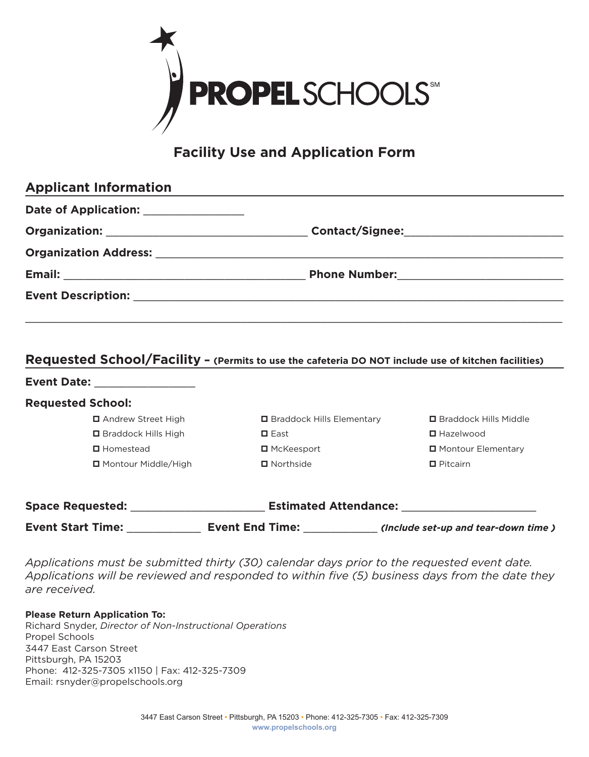

# **Facility Use and Application Form**

| <b>Applicant Information</b>                                                                        |                                                     |  |
|-----------------------------------------------------------------------------------------------------|-----------------------------------------------------|--|
| Date of Application: ________________                                                               |                                                     |  |
|                                                                                                     |                                                     |  |
|                                                                                                     |                                                     |  |
|                                                                                                     |                                                     |  |
|                                                                                                     |                                                     |  |
| Requested School/Facility - (Permits to use the cafeteria DO NOT include use of kitchen facilities) |                                                     |  |
| Event Date: ________________                                                                        |                                                     |  |
| <b>Requested School:</b>                                                                            |                                                     |  |
| <b>□</b> Andrew Street High                                                                         | □ Braddock Hills Elementary □ Braddock Hills Middle |  |

| <b>Space Requested:</b> |                                    | <b>Estimated Attendance:</b>      |                                 |
|-------------------------|------------------------------------|-----------------------------------|---------------------------------|
|                         | □ Montour Middle/High              | $\blacksquare$ Northside          | $\blacksquare$ Pitcairn         |
|                         | <b>□</b> Homestead                 | $\blacksquare$ McKeesport         | □ Montour Elementary            |
|                         | <b>□</b> Braddock Hills High       | $\Box$ East                       | $\blacksquare$ Hazelwood        |
|                         | <b>Let Allyte ve Street Tilgit</b> | <b>Production</b> into Ligitudity | <b>L</b> Diduuvch Tills Piluule |

*Applications must be submitted thirty (30) calendar days prior to the requested event date. Applications will be reviewed and responded to within five (5) business days from the date they are received.* 

**Event Start Time:** \_\_\_\_\_\_\_\_\_\_\_ **Event End Time:** \_\_\_\_\_\_\_\_\_\_\_ *(Include set-up and tear-down time )*

**Please Return Application To:**  Richard Snyder, *Director of Non-Instructional Operations* Propel Schools 3447 East Carson Street Pittsburgh, PA 15203 Phone: 412-325-7305 x1150 | Fax: 412-325-7309 Email: rsnyder@propelschools.org